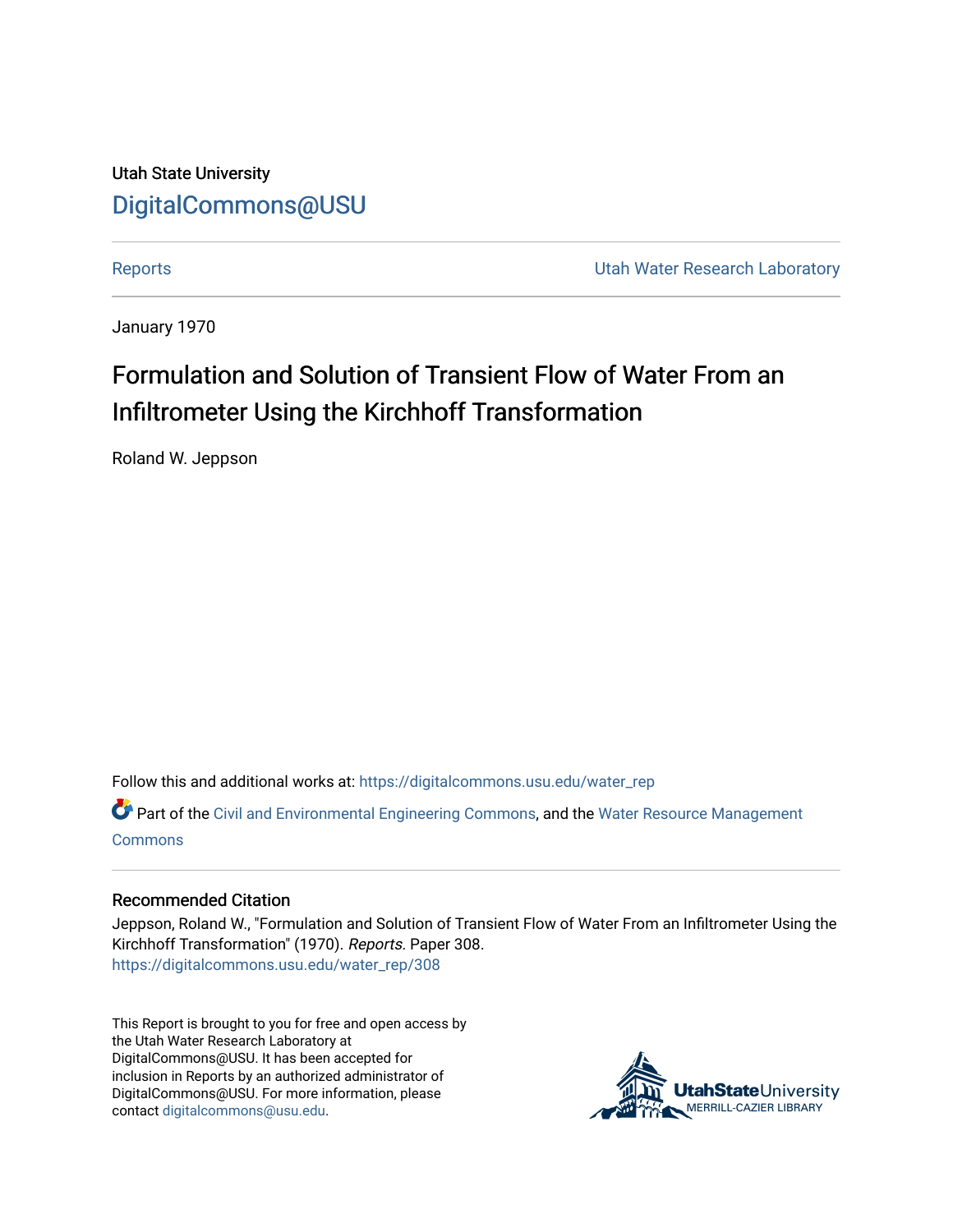Utah State University [DigitalCommons@USU](https://digitalcommons.usu.edu/)

[Reports](https://digitalcommons.usu.edu/water_rep) **Exercise Exercise Exercise Exercise Contract Contract Contract Contract Contract Contract Contract Contract Contract Contract Contract Contract Contract Contract Contract Contract Contract Contract Contract Contra** 

January 1970

# Formulation and Solution of Transient Flow of Water From an Infiltrometer Using the Kirchhoff Transformation

Roland W. Jeppson

Follow this and additional works at: [https://digitalcommons.usu.edu/water\\_rep](https://digitalcommons.usu.edu/water_rep?utm_source=digitalcommons.usu.edu%2Fwater_rep%2F308&utm_medium=PDF&utm_campaign=PDFCoverPages) 

Part of the [Civil and Environmental Engineering Commons](http://network.bepress.com/hgg/discipline/251?utm_source=digitalcommons.usu.edu%2Fwater_rep%2F308&utm_medium=PDF&utm_campaign=PDFCoverPages), and the [Water Resource Management](http://network.bepress.com/hgg/discipline/1057?utm_source=digitalcommons.usu.edu%2Fwater_rep%2F308&utm_medium=PDF&utm_campaign=PDFCoverPages) **[Commons](http://network.bepress.com/hgg/discipline/1057?utm_source=digitalcommons.usu.edu%2Fwater_rep%2F308&utm_medium=PDF&utm_campaign=PDFCoverPages)** 

# Recommended Citation

Jeppson, Roland W., "Formulation and Solution of Transient Flow of Water From an Infiltrometer Using the Kirchhoff Transformation" (1970). Reports. Paper 308. [https://digitalcommons.usu.edu/water\\_rep/308](https://digitalcommons.usu.edu/water_rep/308?utm_source=digitalcommons.usu.edu%2Fwater_rep%2F308&utm_medium=PDF&utm_campaign=PDFCoverPages)

This Report is brought to you for free and open access by the Utah Water Research Laboratory at DigitalCommons@USU. It has been accepted for inclusion in Reports by an authorized administrator of DigitalCommons@USU. For more information, please contact [digitalcommons@usu.edu](mailto:digitalcommons@usu.edu).

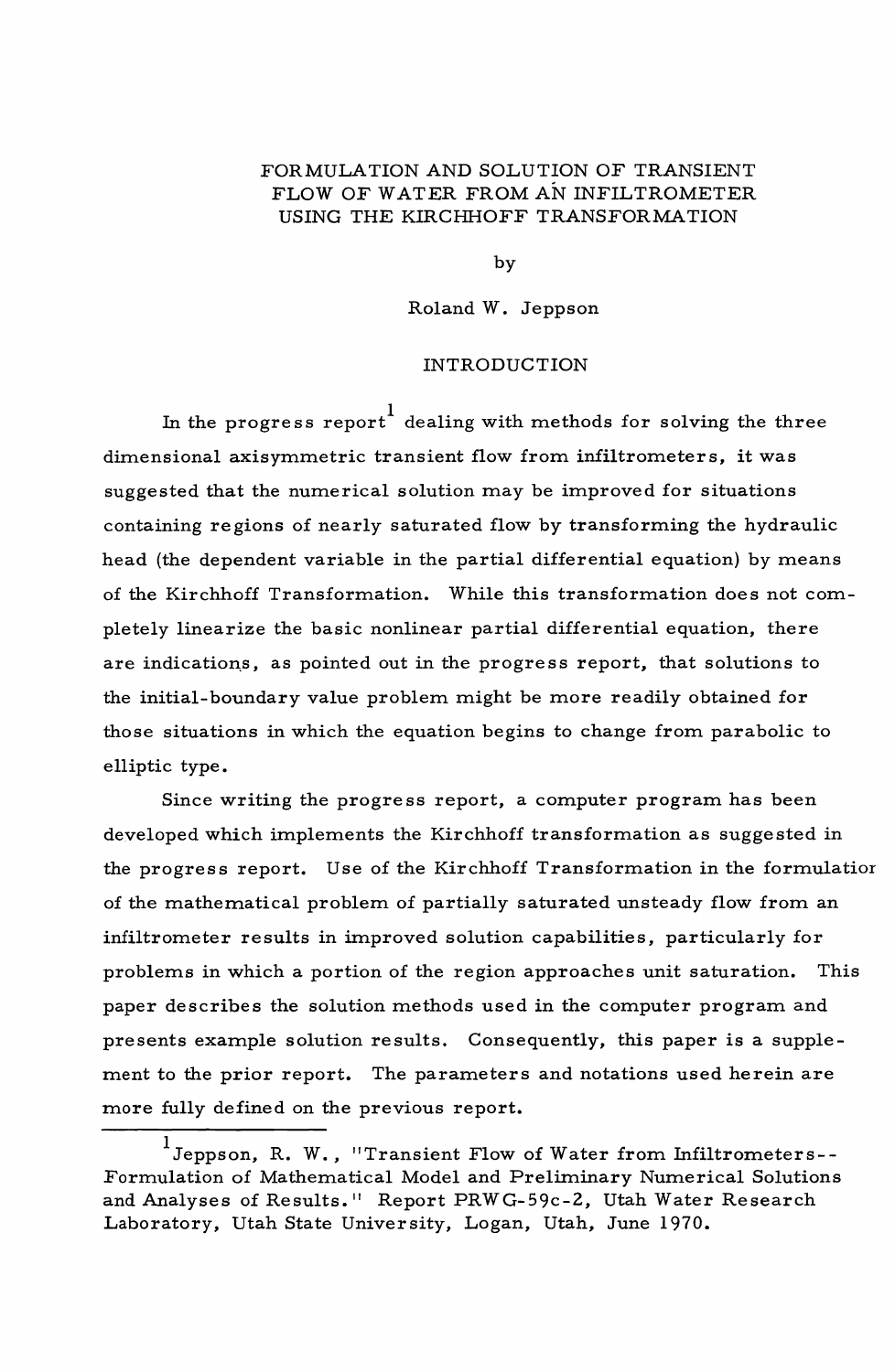# FORMULA TION AND SOLUTION OF TRANSIENT FLOW OF WATER FROMAN INFILTROMETER USING THE KIRCHHOFF TRANSFORMATION

by

Roland W. Jeppson

# INTRODUCTION

In the progress report dealing with methods for solving the three dimensional axisymmetric transient flow from iniiltrometers, it was suggested that the numerical solution may be improved for situations containing regions of nearly saturated flow by transforming the hydraulic head (the dependent variable in the partial differential equation) by means of the Kirchhoff Transformation. While this transformation does not completely linearize the basic nonlinear partial differential equation, there are indications, as pointed out in the progress report, that solutions to the initial-boundary value problem might be more readily obtained for those situations in which the equation begins to change from parabolic to elliptic type.

Since writing the progress report, a computer program has been developed which implements the Kirchhoff transformation as suggested in the progress report. Use of the Kirchhoff Transformation in the formulatior of the mathematical problem of partially saturated unsteady flow from an infiltrometer results in improved solution capabilities, particularly for problems in which a portion of the region approaches unit saturation. This paper describes the solution methods used in the computer program and presents example solution results. Consequently, this paper is a supplement to the prior report. The parameters and notations used herein are more fully defined on the previous report.

<sup>1</sup> Jeppson, R. W., "Transient Flow of Water from Infiltrometers-- Formulation of Mathematical Model and Preliminary Numerical Solutions and Analyses of Results." Report PRWG-59c-2, Utah Water Research Laboratory, Utah State University, Logan, Utah, June 1970.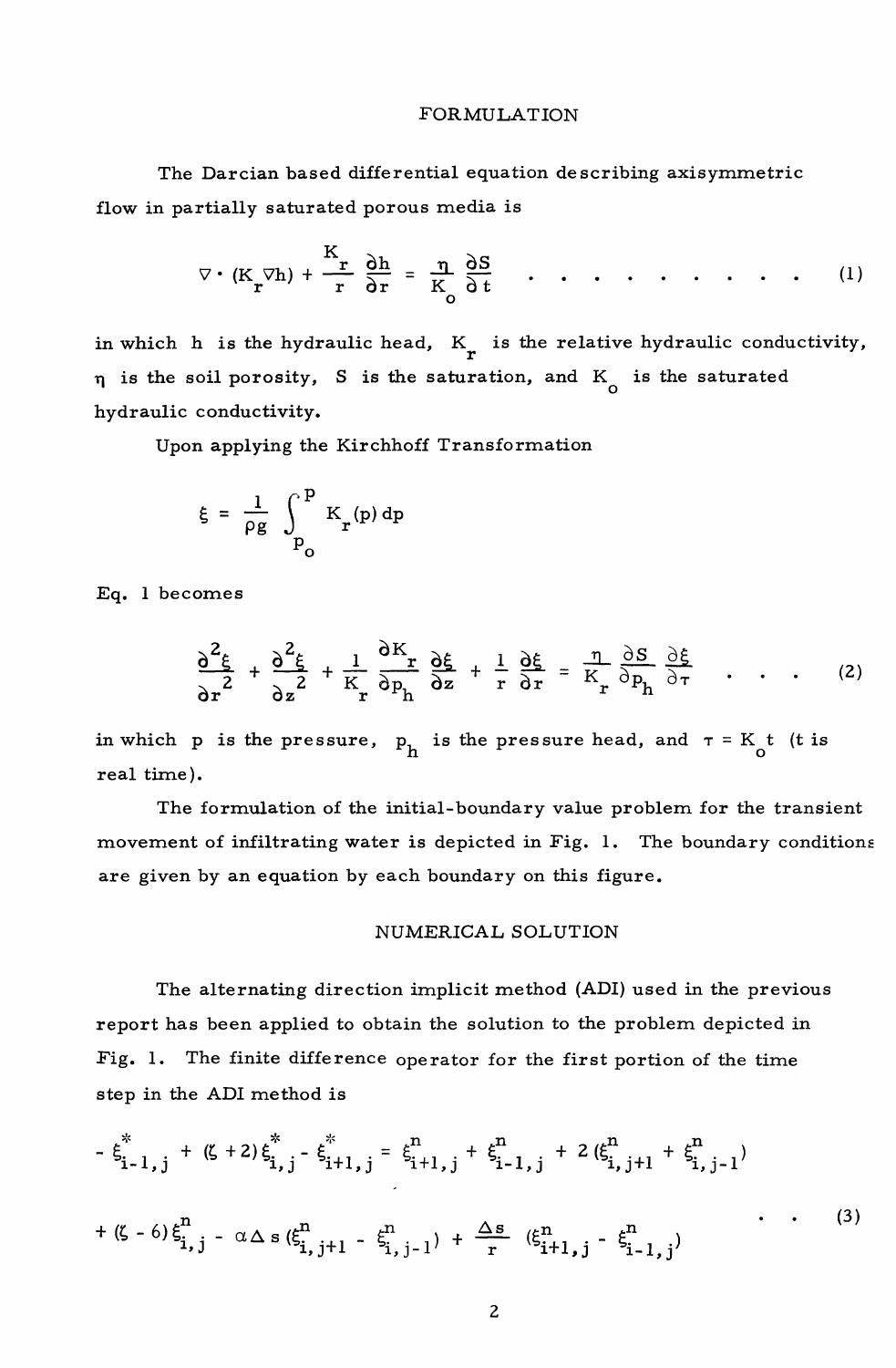#### FORMULATION

The Darcian based differential equation describing axisymmetric flow in partially saturated porous media is

$$
\nabla \cdot (\mathbf{K}_{\mathbf{r}} \nabla \mathbf{h}) + \frac{\mathbf{K}_{\mathbf{r}}}{\mathbf{r}} \frac{\partial \mathbf{h}}{\partial \mathbf{r}} = \frac{\mathbf{n}}{\mathbf{K}_{\mathbf{0}}} \frac{\partial \mathbf{S}}{\partial \mathbf{t}} \quad . \quad . \quad . \quad . \quad . \quad . \quad . \quad . \quad . \tag{1}
$$

in which h is the hydraulic head,  $K<sub>r</sub>$  is the relative hydraulic conductivity,  $\eta$  is the soil porosity, S is the saturation, and K<sub>o</sub> is the saturated hydraulic conductivity.

Upon applying the Kirchhoff Transformation

$$
\xi = \frac{1}{\rho g} \int_{P_0}^{P} K_r(p) dp
$$

Eq. 1 becomes

$$
\frac{\partial^2 \xi}{\partial r^2} + \frac{\partial^2 \xi}{\partial z^2} + \frac{1}{K_r} \frac{\partial K_r}{\partial p_h} \frac{\partial \xi}{\partial z} + \frac{1}{r} \frac{\partial \xi}{\partial r} = \frac{\eta}{K_r} \frac{\partial S}{\partial p_h} \frac{\partial \xi}{\partial \tau} \dots \quad (2)
$$

in which p is the pressure,  $p_h$  is the pressure head, and  $\tau = K_t t$  (t is real time).

The formulation of the initial-boundary value problem for the transient movement of infiltrating water is depicted in Fig. 1. The boundary conditions are given by an equation by each boundary on this figure.

#### NUMERICAL SOLUTION

The alternating direction implicit method (ADI) used in the previous report has been applied to obtain the solution to the problem depicted in Fig. 1. The finite difference operator for the first portion of the time step in the ADI method is

$$
-\xi_{i-1,j}^{*} + (\zeta + 2)\xi_{i,j}^{*} - \xi_{i+1,j}^{*} = \xi_{i+1,j}^{n} + \xi_{i-1,j}^{n} + 2(\xi_{i,j+1}^{n} + \xi_{i,j-1}^{n})
$$
  
+  $(\zeta - 6)\xi_{i,j}^{n} - \alpha \Delta s(\xi_{i,j+1}^{n} - \xi_{i,j-1}^{n}) + \frac{\Delta s}{r}(\xi_{i+1,j}^{n} - \xi_{i-1,j}^{n})$  (3)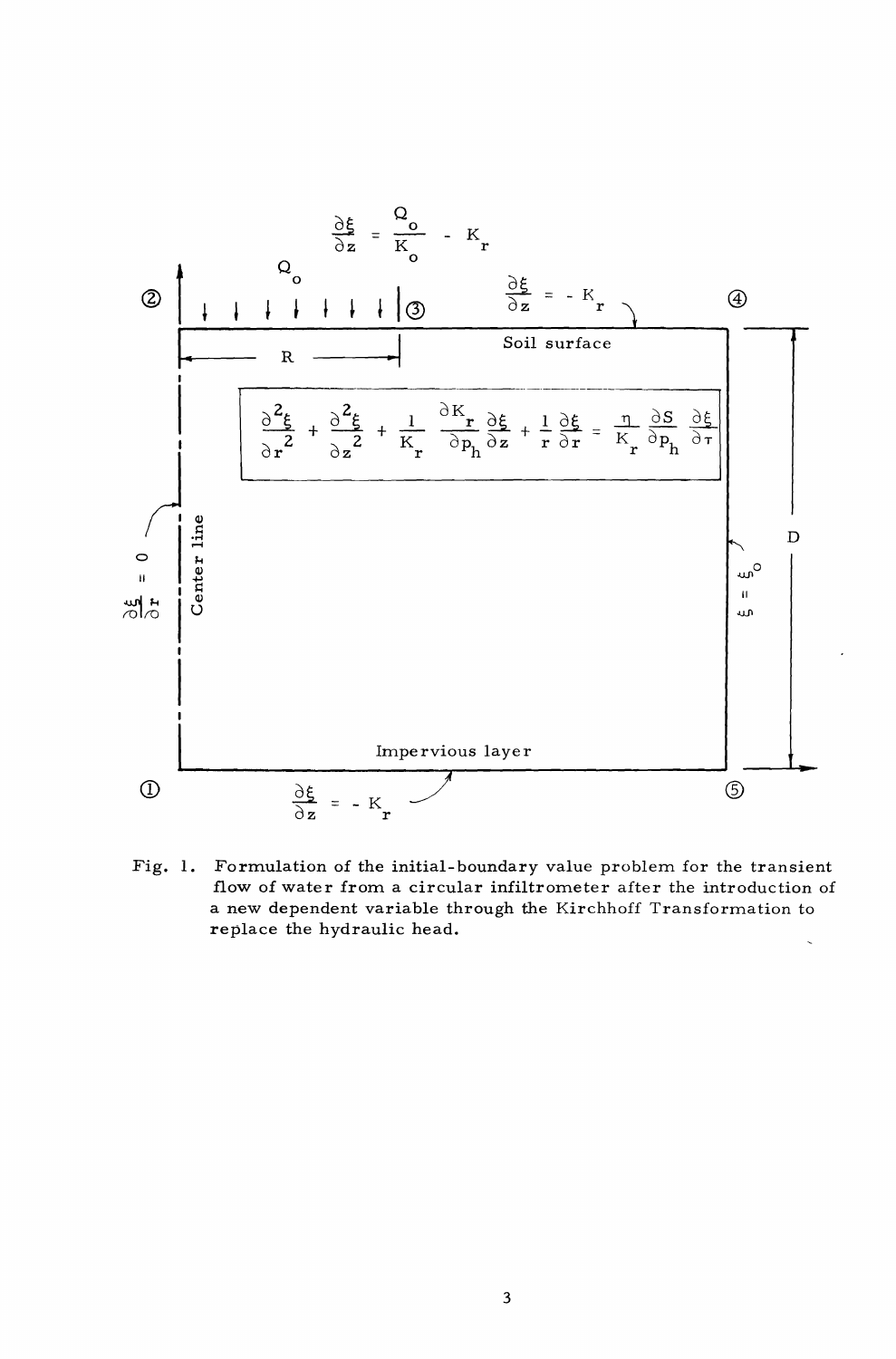

Fig. 1. Formulation of the initial-boundary value problem for the transient flow of water from a circular infiltrometer after the introduction of a new dependent variable through the Kirchhoff Transformation to replace the hydraulic head.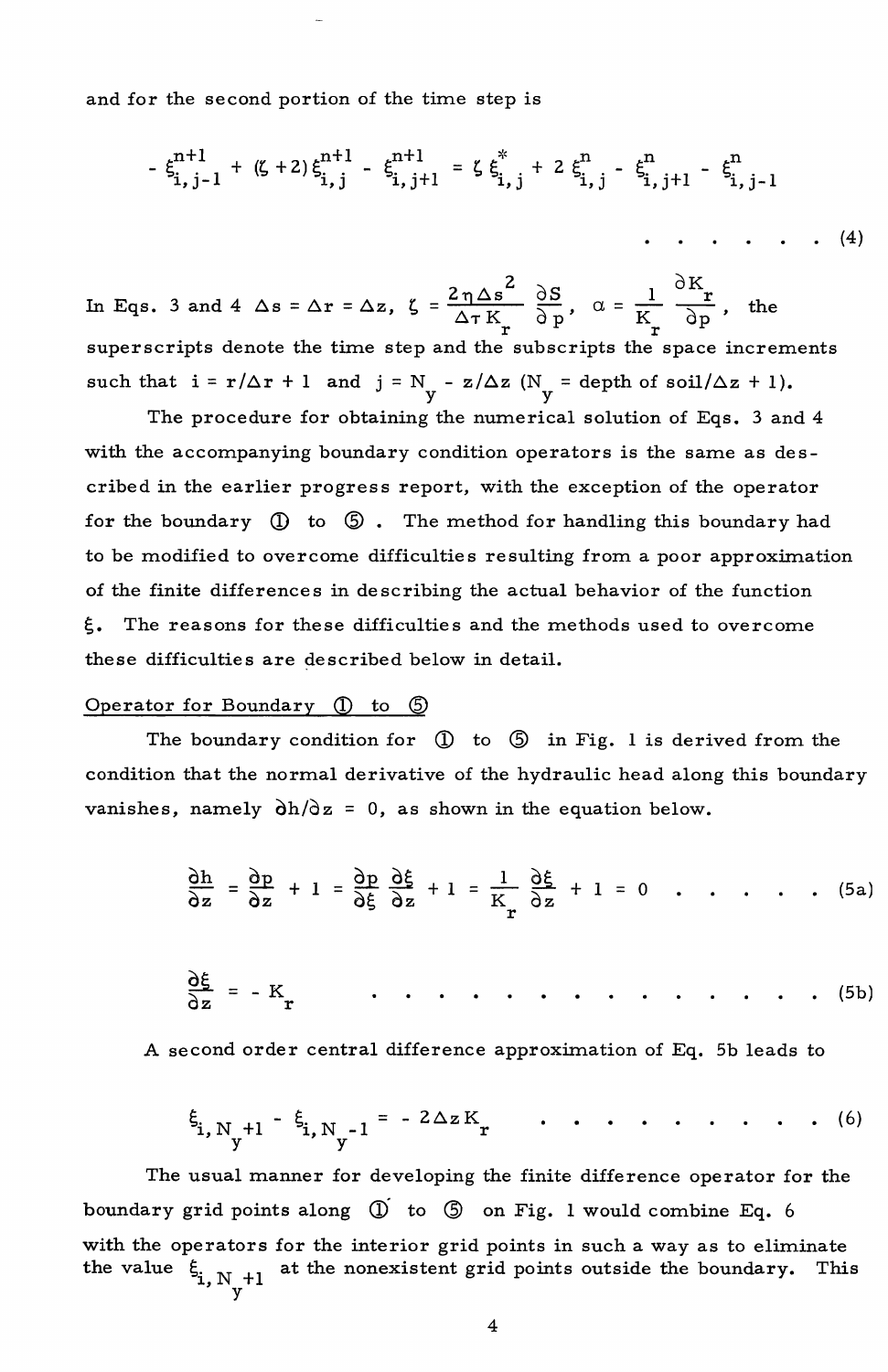and for the second portion of the time step is

$$
\xi_{i,j-1}^{n+1} + (\zeta + 2) \xi_{i,j}^{n+1} - \xi_{i,j+1}^{n+1} = \zeta \xi_{i,j}^{*} + 2 \xi_{i,j}^{n} - \xi_{i,j+1}^{n} - \xi_{i,j-1}^{n}
$$

In Eqs. 3 and 4  $\Delta s = \Delta r = \Delta z$ ,  $\zeta = \frac{2 \eta \Delta s^2}{\Delta \tau K_r} \frac{\partial S}{\partial p}$ ,  $\alpha = \frac{1}{K_r}$  $\delta$ K $_{\bf r}$  $\frac{r}{\delta p}$ , the superscripts denote the time step and the subscripts the space increments such that  $i = r/\Delta r + 1$  and  $j = N_v - z/\Delta z$  ( $N_v =$  depth of soil/ $\Delta z + 1$ ).

The procedure for obtaining the numerical solution of Eqs. 3 and 4 with the accompanying boundary condition operators is the same as described in the earlier progress report, with the exception of the operator for the boundary  $\mathbb D$  to  $\mathbb G$ . The method for handling this boundary had to be modified to overcome difficulties resulting from a poor approximation of the finite differences in describing the actual behavior of the function  $\xi$ . The reasons for these difficulties and the methods used to overcome these difficulties are described below in detail.

## Operator for Boundary  $(1)$  to  $(5)$

The boundary condition for  $\mathbb O$  to  $\mathbb S$  in Fig. 1 is derived from the condition that the normal derivative of the hydraulic head along this boundary vanishes, namely  $\partial h / \partial z = 0$ , as shown in the equation below.

$$
\frac{\partial h}{\partial z} = \frac{\partial p}{\partial z} + 1 = \frac{\partial p}{\partial \xi} \frac{\partial \xi}{\partial z} + 1 = \frac{1}{K_r} \frac{\partial \xi}{\partial z} + 1 = 0 \quad . \quad . \quad . \quad . \quad . \tag{5a}
$$

QS.= oz -K r (Sb)

A second order central difference approximation of Eq. Sb leads to

$$
\xi_{i, N_{y}+1} - \xi_{i, N_{y}-1} = -2\Delta z K_{r}
$$
 ... ... ... ... (6)

The usual manner for developing the finite difference operator for the boundary grid points along  $\overline{0}$  to  $\overline{0}$  on Fig. 1 would combine Eq. 6 with the operators for the interior grid points in such a way as to eliminate at the nonexistent grid points outside the boundary. This the value  $\xi_{i, N_v+1}$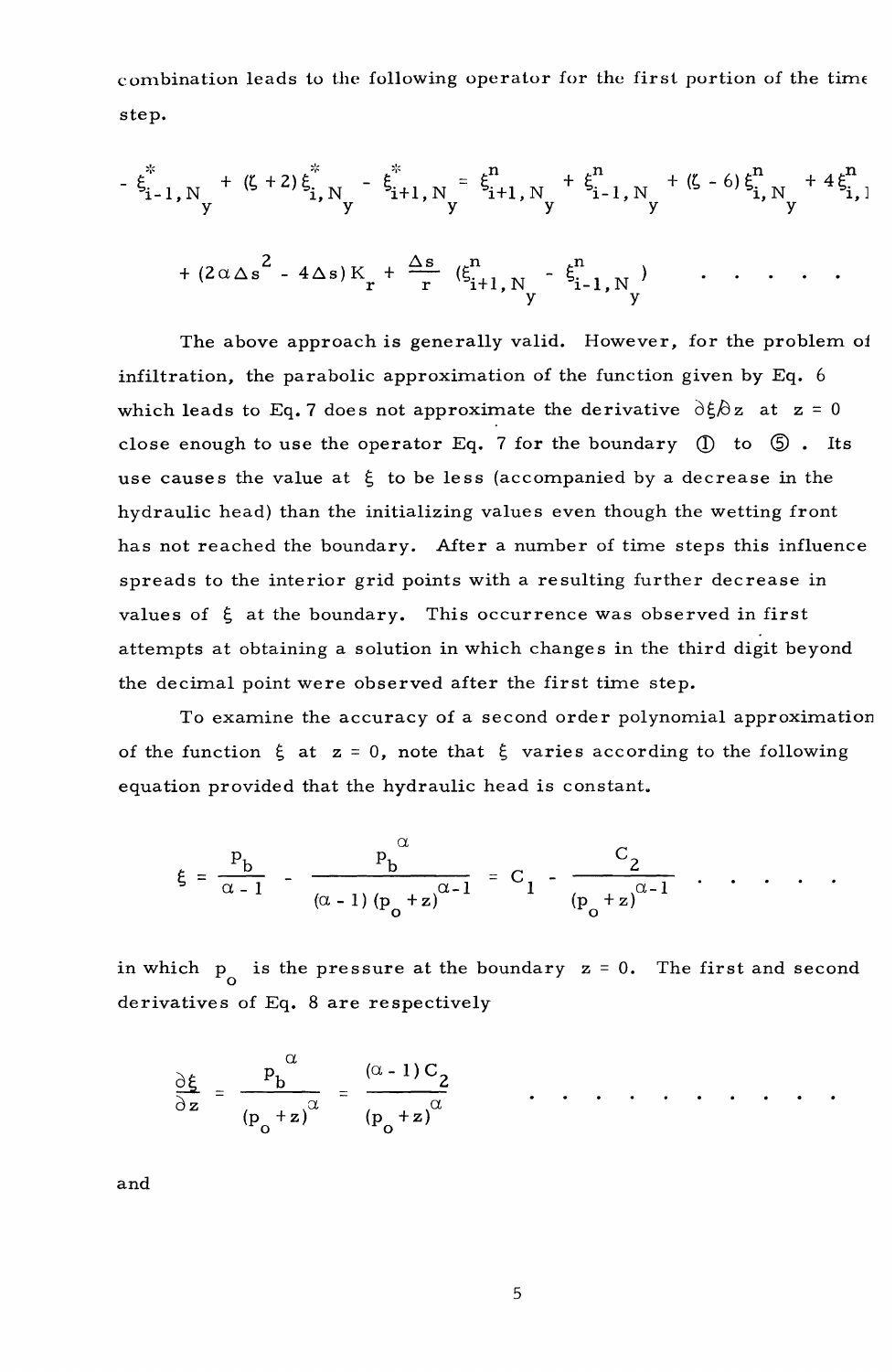combination leads to the following operator for the first portion of the time step.

$$
-\xi_{i-1,N_y}^* + (\zeta + 2) \xi_{i,N_y}^* - \xi_{i+1,N_y}^* = \xi_{i+1,N_y}^* + \xi_{i-1,N_y}^* + (\zeta - 6) \xi_{i,N_y}^* + 4 \xi_{i,1}^* + (2 \alpha \Delta s^2 - 4 \Delta s) K_r + \frac{\Delta s}{r} (\xi_{i+1,N_y}^* - \xi_{i-1,N_y}^*) + \cdots
$$

The above approach is generally valid. However, for the problem of infiltration, the parabolic approximation of the function given by  $Eq. 6$ which leads to Eq. 7 does not approximate the derivative  $\partial \xi/\partial z$  at  $z = 0$ close enough to use the operator Eq. 7 for the boundary  $(1)$  to  $(5)$ . Its use causes the value at  $\xi$  to be less (accompanied by a decrease in the hydraulic head) than the initializing values even though the wetting front has not reached the boundary. After a number of time steps this influence spreads to the interior grid points with a resulting further decrease in values of  $\xi$  at the boundary. This occurrence was observed in first attempts at obtaining a solution in which changes in the third digit beyond the decimal point were observed after the first time step.

To examine the accuracy of a second order polynomial approximation of the function  $\xi$  at  $z = 0$ , note that  $\xi$  varies according to the following equation provided that the hydraulic head is constant.

$$
\xi = \frac{P_b}{\alpha - 1} - \frac{P_b^{\alpha}}{(\alpha - 1) (p_o + z)^{\alpha - 1}} = C_1 - \frac{C_2}{(p_o + z)^{\alpha - 1}} \quad .
$$

in which  $p_{n}$  is the pressure at the boundary  $z = 0$ . The first and second derivatives of Eq. 8 are respectively

$$
\frac{\partial \xi}{\partial z} = \frac{P_b}{(P_o + z)^{\alpha}} = \frac{(\alpha - 1)C_2}{(P_o + z)^{\alpha}} \qquad \dots \qquad \dots \qquad \dots \qquad \dots
$$

and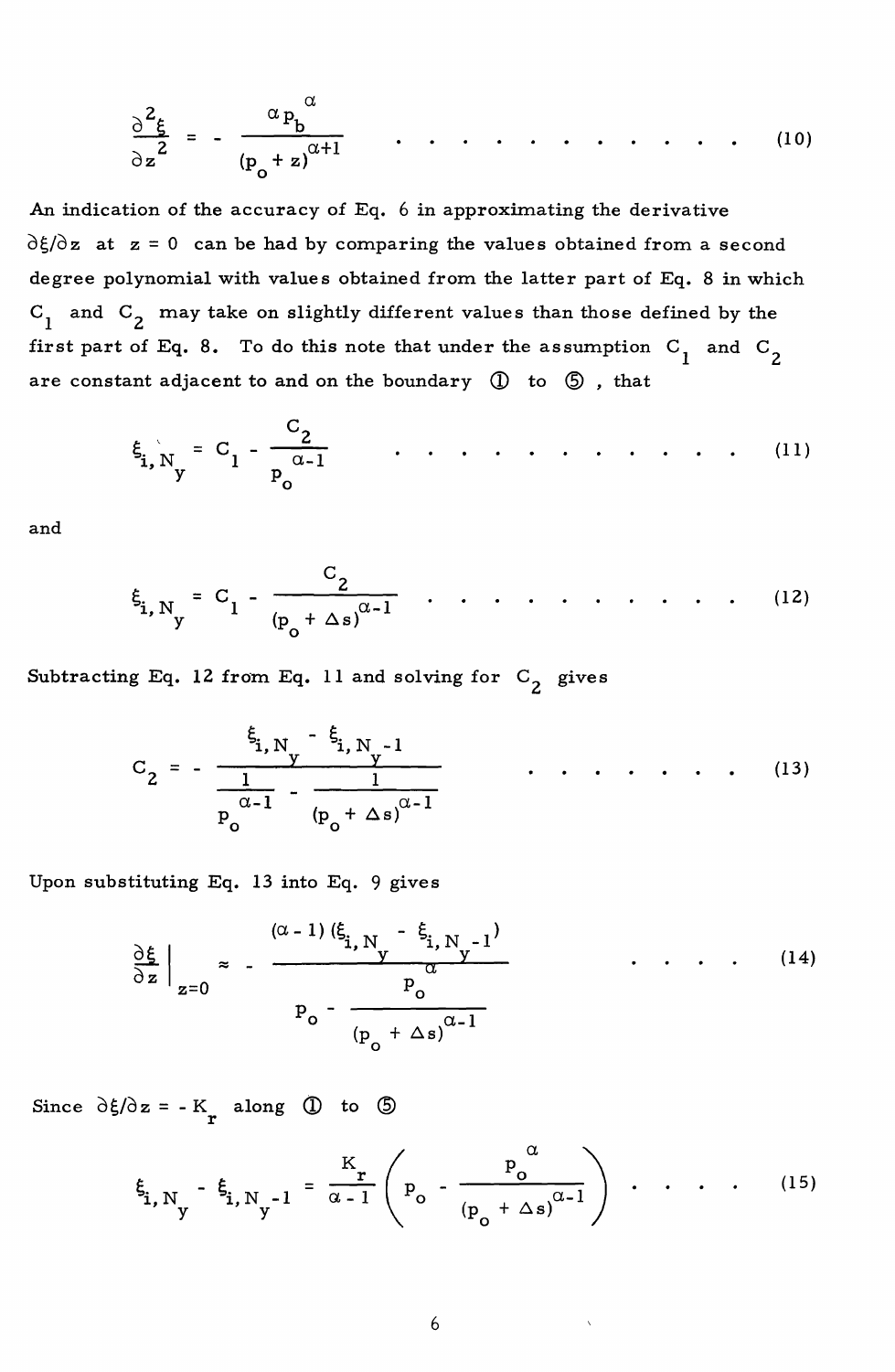$$
\frac{\partial^2 \xi}{\partial z^2} = -\frac{\alpha p_b^{\alpha}}{(p_o + z)^{\alpha + 1}} \qquad \cdots \qquad \cdots \qquad (10)
$$

An indication of the accuracy of Eq. 6 in approximating the derivative  $\partial \xi / \partial z$  at  $z = 0$  can be had by comparing the values obtained from a second degree polynomial with values obtained from the latter part of Eq. 8 in which  $C_1$  and  $C_2$  may take on slightly different values than those defined by the first part of Eq. 8. To do this note that under the assumption  $C_1$  and  $C_2$  are constant adjacent to and on the boundary  $\bigcirc$  to  $\bigcirc$ , that

$$
\xi_{i, N_y} = C_1 - \frac{C_2}{p_0^{\alpha - 1}} \qquad \dots \qquad \dots \qquad (11)
$$

and

$$
\xi_{i, N_y} = C_1 - \frac{C_2}{(p_o + \Delta s)^{\alpha - 1}}
$$
 ... ... ... ... (12)

Subtracting Eq. 12 from Eq. 11 and solving for  $C_2$  gives

$$
C_2 = -\frac{\xi_{i, N_y} - \xi_{i, N_y - 1}}{\frac{1}{P_0^{\alpha - 1}} - \frac{1}{(P_0 + \Delta s)^{\alpha - 1}}}
$$
 (13)

Upon substituting Eq. 13 into Eq. 9 gives

$$
\frac{\partial \xi}{\partial z}\Big|_{z=0} \approx -\frac{(\alpha - 1)(\xi_{i, N} - \xi_{i, N-1})}{\alpha} \qquad \dots \qquad (14)
$$

Since  $\partial \xi / \partial z = -K_r$  along  $\overline{Q}$  to  $\overline{Q}$ 

$$
\xi_{i, N_y} - \xi_{i, N_y - 1} = \frac{K_r}{\alpha - 1} \left( P_o - \frac{P_o^{\alpha}}{(P_o + \Delta s)^{\alpha - 1}} \right) \cdot \cdot \cdot \cdot \cdot \cdot (15)
$$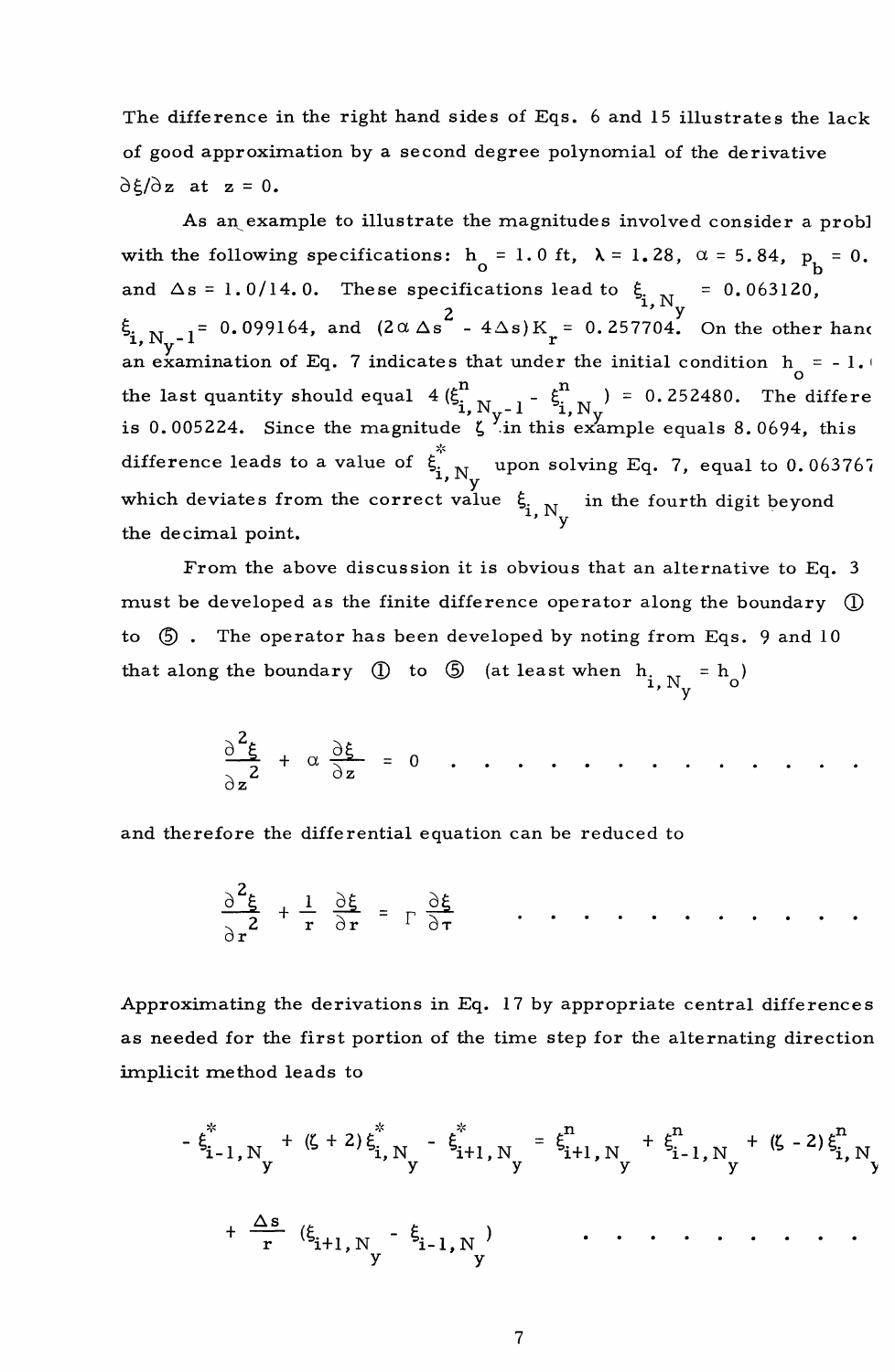The difference in the right hand sides of Eqs. 6 and 15 illustrates the lack of good approximation by a second degree polynomial of the derivative  $\partial \xi/\partial z$  at  $z = 0$ .

As an example to illustrate the magnitudes involved consider a probl with the following specifications:  $h_0 = 1.0$  ft,  $\lambda = 1.28$ ,  $\alpha = 5.84$ ,  $p_b = 0$ . and  $\Delta s = 1.0/14.0$ . These specifications lead to  $\xi_{i,N} = 0.063120$ ,  $\int_{2}^{2}$ , N<sub>y</sub>-1<sup>=</sup> 0.099164, and  $(2\alpha \Delta s^2 - 4\Delta s)K_r = 0.257704$ . On the other hand an examination of Eq. 7 indicates that under the initial condition  $h_{\alpha} = -1.1$ the last quantity should equal  $4(\xi_{i, N_y-1}^n - \xi_{i, N_y}^n) = 0.252480$ . The differe is 0.005224. Since the magnitude  $\zeta$  in this example equals 8.0694, this difference leads to a value of  $\xi_{\mathbf{i},\mathbf{N}_{\mathbf{y}}}^{\mathbf{j}}$  upon solving Eq. 7, equal to 0.063767 which deviates from the correct value  $\xi_{\mathbf{i},\mathbf{N}_{\mathbf{y}}}^{\mathbf{j}}$  in the fourth digit beyond the decimal point.

From the above discussion it is obvious that an alternative to Eq. 3 must be developed as the finite difference operator along the boundary  $\mathbb O$ to  $\circled{5}$ . The operator has been developed by noting from Eqs. 9 and 10 that along the boundary  $\circled{1}$  to  $\circled{5}$  (at least when  $h_{i, N_v} = h_o$ )

$$
\frac{\partial^2 \xi}{\partial z^2} + \alpha \frac{\partial \xi}{\partial z} = 0 \quad . \quad . \quad . \quad . \quad . \quad . \quad . \quad . \quad . \quad . \quad . \quad .
$$

and therefore the differential equation can be reduced to

$$
\frac{\partial^2 \xi}{\partial r^2} + \frac{1}{r} \frac{\partial \xi}{\partial r} = \Gamma \frac{\partial \xi}{\partial r} \qquad \dots \qquad \dots \qquad \dots \qquad \dots
$$

Approximating the derivations in Eq. 17 by appropriate central differences as needed for the first portion of the time step for the alternating direction implicit method leads to

$$
-\xi_{i-1,N}^{*} + (\zeta + 2) \xi_{i,N}^{*} - \xi_{i+1,N}^{*} = \xi_{i+1,N}^{n} + \xi_{i-1,N}^{n} + (\zeta - 2) \xi_{i,N}^{n}
$$
  
+  $\frac{\Delta s}{r} (\xi_{i+1,N_y} - \xi_{i-1,N_y})$  ... ... ...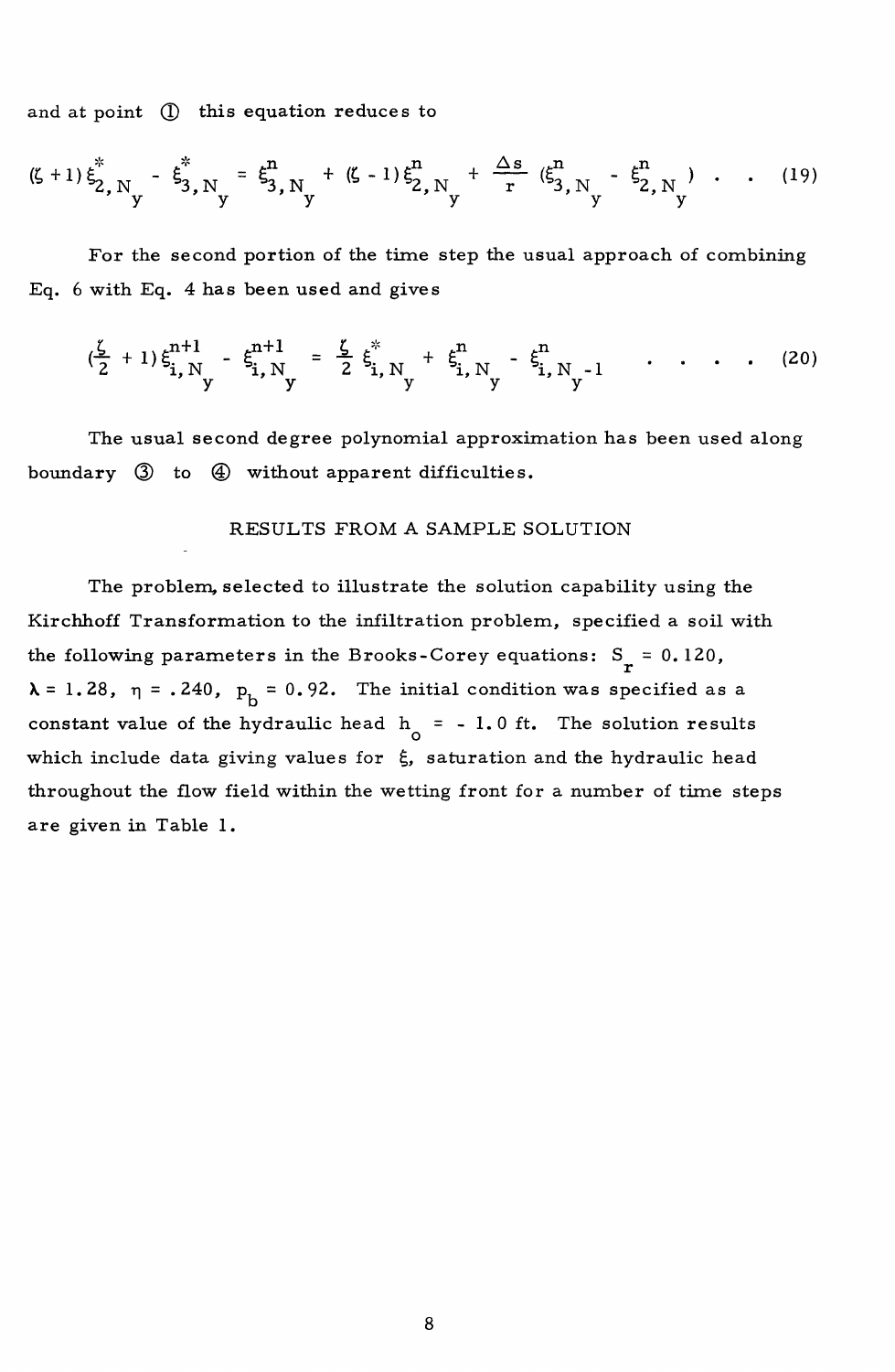and at point (I) this equation reduces to

$$
(\zeta + 1) \xi_{2,N_y}^* - \xi_{3,N_y}^* = \xi_{3,N_y}^n + (\zeta - 1) \xi_{2,N_y}^n + \frac{\Delta s}{r} (\xi_{3,N_y}^n - \xi_{2,N_y}^n) \cdots (19)
$$

For the second portion of the time step the usual approach of combining Eq. 6 with Eq. 4 has been used and gives

$$
(\frac{\zeta}{2}+1)\xi_{i,N_y}^{n+1} - \xi_{i,N_y}^{n+1} = \frac{\zeta}{2}\xi_{i,N_y}^* + \xi_{i,N_y}^n - \xi_{i,N_y-1}^n \qquad \qquad (20)
$$

The usual second degree polynomial approximation has been used along boundary  $\emptyset$  to  $\emptyset$  without apparent difficulties.

## RESULTS FROM A SAMPLE SOLUTION

The problem. selected to illustrate the solution capability using the Kirchhoff Transformation to the infiltration problem, specified a soil with the following parameters in the Brooks-Corey equations:  $S_r = 0.120$ ,  $\lambda = 1.28$ ,  $\eta = .240$ ,  $p_h = 0.92$ . The initial condition was specified as a constant value of the hydraulic head  $h_0 = -1.0$  ft. The solution results which include data giving values for  $\xi$ , saturation and the hydraulic head throughout the flow field within the wetting front for a number of time steps are given in Table 1.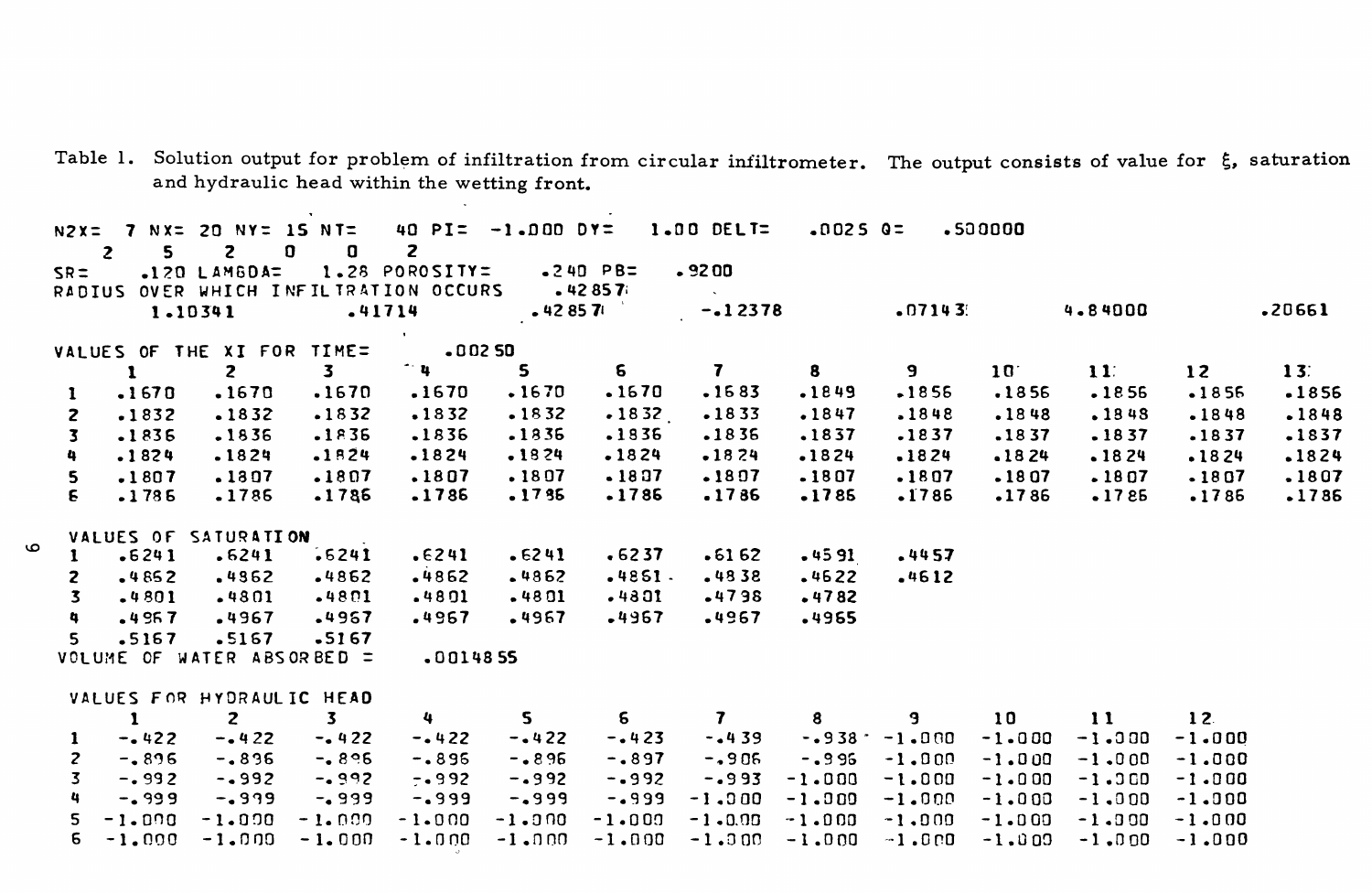| Table 1. Solution output for problem of infiltration from circular infiltrometer. The output consists of value for $\xi$ , saturation |  |
|---------------------------------------------------------------------------------------------------------------------------------------|--|
| and hydraulic head within the wetting front.                                                                                          |  |
|                                                                                                                                       |  |

| $\overline{2}$          | 5.           | N2X= 7 NX= 20 NY= 15 NT= 40 PI= -1.000 DY= 1.00 DELT=<br>$\overline{z}$ | 0<br>O.                 | $\overline{\mathbf{z}}$       |             |             |              | .0025 Q=         |          | .50000       |              |                 |                 |
|-------------------------|--------------|-------------------------------------------------------------------------|-------------------------|-------------------------------|-------------|-------------|--------------|------------------|----------|--------------|--------------|-----------------|-----------------|
| $SR =$                  |              | $-120$ LAMBDA=<br>RADIUS OVER WHICH INFILIRATION OCCURS .42857          |                         | 1.28 POROSITY=                |             | .240 PB=    | .9200        |                  |          |              |              |                 |                 |
|                         |              | 1.10341                                                                 | $-41714$                |                               | $-42857$    |             | $-12378$     |                  | $-07143$ |              | 4.84000      |                 | .20661          |
|                         |              |                                                                         |                         | <b>Contract</b>               |             |             |              |                  |          |              |              |                 |                 |
|                         |              | VALUES OF THE XI FOR TIME=                                              |                         | $-0.0250$                     |             |             |              |                  |          |              |              |                 |                 |
|                         | $\mathbf{1}$ | $\mathbf{z}$                                                            | $\overline{\mathbf{3}}$ | $\mathbf{u}$ and $\mathbf{u}$ | $5^{\circ}$ | $\sim$      | $7 -$        | 8                | 9 - 10   | $10^{\circ}$ | $11^{\circ}$ | 12              | 13 <sup>2</sup> |
| $\mathbf{1}$            | .1670        | .1670                                                                   | .1670                   | .1670                         | .1670       | .1670       | $-1683$      | .1849            | $-1856$  | .1856        | .1856        | $-1856$         | -1856           |
| $\overline{2}$          | $-1832$      | .1832                                                                   | $-1832$                 | .1832                         | $-1832$     | $-1832$     | $-1833$      | .1847            | $-1848$  | .1848        | .1848        | $-1848$         | .1848           |
| $\overline{\mathbf{3}}$ | .1836        | .1836                                                                   | $-1836$                 | .1836                         | $-1836$     | .1836       | $-1836$      | .1837            | .1837    | $-1837$      | $-1837$      | $-1837$         | .1837           |
| 4                       | .1824        | $-1824$                                                                 | $-1824$                 | $-1824$                       | .1824       | .1824       | $-1824$      | $-1824$          | .1824    | $-1824$      | $-1824$      | $-1824$         | .1824           |
| 5                       | .1807        | .1307                                                                   | .1807                   | .1807                         | .1807       | .1807       | .1807        | .1807            | .1807    | $-1807$      | .1807        | $-1807$         | .1807           |
| $\epsilon$              | $-1785$      | .1786                                                                   | .1786                   | .1786                         | .1735       | .1786       | .1786        | .1785            | .1786    | .1786        | $-1785$      | .1786           | $-1786$         |
|                         |              | VALUES OF SATURATION                                                    |                         |                               |             |             |              |                  |          |              |              |                 |                 |
| 1.                      | $-6241$      | .6241                                                                   | $-6241$                 | .6241                         | .6241       | $-6237$     | $-6162$      | $-4591$          | .4457    |              |              |                 |                 |
| $\mathbf{z}$            | .4852        | .4362                                                                   | .4862                   | $-4862$                       | .4862       | .4851.      | $-4838$      | .4622            | .4612    |              |              |                 |                 |
| $\overline{\mathbf{3}}$ | .4801        | $-4801$                                                                 | $-4801$                 | $-4801$                       | $-4801$     | $-4801$     | $-4798$      | $-4782$          |          |              |              |                 |                 |
| 4                       | $-4957$      | .4967                                                                   | .4967                   | .4967                         | .4967       | .4967       | .4967        | .4965            |          |              |              |                 |                 |
| 5.                      | .5167        | .5167                                                                   | $-5167$                 |                               |             |             |              |                  |          |              |              |                 |                 |
|                         |              | VOLUME OF WATER ABSORBED =                                              |                         | .0014855                      |             |             |              |                  |          |              |              |                 |                 |
|                         |              | VALUES FOR HYDRAULIC HEAD                                               |                         |                               |             |             |              |                  |          |              |              |                 |                 |
|                         | $\mathbf{1}$ | $\mathbf{z}$                                                            | $3^{\circ}$             | $4 \sim$                      | $5 -$       | $5^{\circ}$ | $\mathbf{7}$ | $8 - 1$          |          | 10           | 11           | 12 <sub>1</sub> |                 |
| $\mathbf{1}$            | $-0.422$     | $-0.422$                                                                | $-422$                  | $-422$                        | $-0.422$    | $-0.423$    | $-0.439$     | $-0.938 - 1.000$ |          | $-1 - 0.00$  | $-1.000$     | $-1.000$        |                 |
| $\mathbf{z}$            | $-0.896$     | $-0.896$                                                                | $-0.896$                | $-0.896$                      | $-0.896$    | $-.897$     | $-1906$      | $-0.996$         | $-1.000$ | $-1.000$     | $-1.000$     | $-1.000$        |                 |
| 3.                      | $-0.992$     | $-0.992$                                                                | $-0.992$                | $-0.992$                      | $-0.992$    | $-0.992$    | $-.993$      | $-1.000$         | $-1.000$ | $-1.000$     | $-1.300$     | $-1.000$        |                 |
| 4                       | $-0.999$     | $-0.999$                                                                | $-0.999$                | $-0.999$                      | -.999       | $-0.999$    | $-1.000$     | $-1.000$         | $-1.000$ | $-1.000$     | $-1.000$     | $-1.000$        |                 |
| 5                       | $-1.000$     | $-1.000$                                                                | $-1.009$                | $-1 - 0.00$                   | $-1.000$    | $-1.000$    | $-1 - 0.00$  | $-1.000$         | $-1.000$ | $-1.000$     | $-1.000$     | $-1.000$        |                 |
| 6                       | $-1.000$     | -1.000                                                                  | $-1.000$                | $-1.000$                      | -1.000      | $-1.000$    | $-1.000$     | $-1.000$         | $-1.000$ | $-1.000$     | $-1.000$     | $-1.000$        |                 |

 $\circ$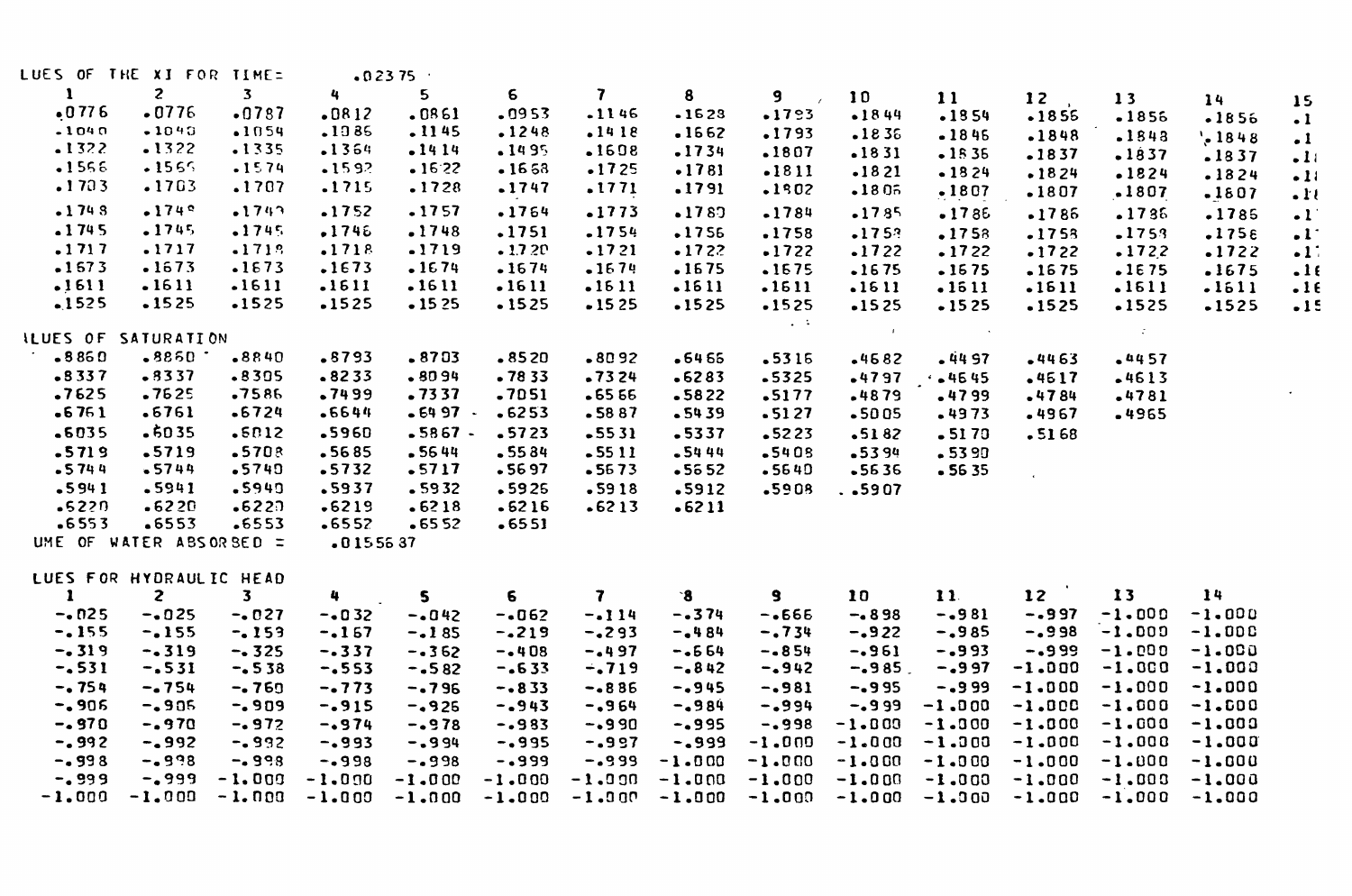| LUES OF THE XI FOR TIME= |                |                         |            | $-0.2375$    |          |              |          |                         |                |               |                 |                               |                    |                      |
|--------------------------|----------------|-------------------------|------------|--------------|----------|--------------|----------|-------------------------|----------------|---------------|-----------------|-------------------------------|--------------------|----------------------|
| 1                        | $\overline{z}$ | $\overline{\mathbf{3}}$ | 4          | 5            | 6        | 7            | 8        | 9                       | 10             | 11            | 12              | 13                            | 14                 | 15                   |
| $-0776$                  | .0776          | .0787                   | $-0812$    | .0861        | .0953    | $-1146$      | $-1623$  | $-1793$                 | $-1844$        | $-1854$       | $-1855$         | .1856                         | $-1856$            | $\cdot$ 1            |
| $-1040$                  | $-1040$        | $-1054$                 | .1385      | $-1145$      | .1248    | .1418        | $-1662$  | .1793                   | $-1836$        | $-1846$       | $-1848$         | $-1843$                       | $\frac{1}{2}$ 1848 | $\cdot$ 1            |
| .1322                    | .1322          | $-1335$                 | .1364      | $-1414$      | $-1495$  | .1608        | $-1734$  | .1807                   | $-1831$        | $-1535$       | $-1837$         | $-1837$                       | .1837              | $-11$                |
| $-1556$                  | $-1565$        | $-1574$                 | $-1592$    | $-16.22$     | $-1653$  | $-1725$      | .1781    | $-1811$                 | •1821          | $-1824$       | $-1824$         | .1824                         | $-1824$            | $-11$                |
| .1703                    | .1703          | .1707                   | .1715      | .1728        | $-1747$  | .1771        | .1791    | .1902                   | $-1805$        | $-1807$       | .1807           | .1807                         | .1807              | $\cdot \mathbf{r}$   |
| $-1743$                  | $-1749$        | $-1743$                 | .1752      | .1757        | $-1764$  | $-1773$      | .1787    | $-1784$                 | $-1785$        | $-1786$       | $-1785$         | $-1736$                       | .1785              | $\cdot$ <sup>r</sup> |
| $-1745$                  | $-1745$        | $-1745$                 | .1746      | .1748        | .1751    | $-1754$      | .1756    | .1758                   | .1753          | .1758         | $-1753$         | .1753                         | .175E              | $\cdot$ <sup>1</sup> |
| .1717                    | .1717          | $-1712$                 | .1718      | .1719        | $-1.720$ | .1721        | $-1722$  | .1722                   | .1722          | .1722         | $-1722$         | .1722                         | .1722              | $\cdot$ 11           |
| $-1673$                  | .1673          | .1673                   | .1673      | .1674        | $-1674$  | $-1674$      | .1675    | $-1675$                 | $-1675$        | $-1675$       | $-1675$         | .1675                         | .1675              | .16                  |
| .1611                    | .1611          | $-1611$                 | .1611      | .1611        | $-1611$  | $-1611$      | .1611    | .1611                   | .1611          | .1511         | .1611           | .1611                         | $-1611$            | $-16$                |
| $-1525$                  | $-1525$        | $-1525$                 | $-1525$    | $-1525$      | $-1525$  | $-1525$      | $-1525$  | $-1525$                 | $-1525$        | $-1525$       | $-1525$         | $-1525$                       | $-1525$            | .15                  |
|                          |                |                         |            |              |          |              |          | $\sim 100$              |                |               |                 |                               |                    |                      |
| ILUES OF SATURATION      |                |                         |            |              |          |              |          |                         | $\sim 10^{-1}$ | $\sim$ $\sim$ |                 | $\mathcal{I}^{\mathcal{I}}$ . |                    |                      |
| $-8860$                  | $-8850$        | $-8840$                 | .8793      | $-8703$      | $-8520$  | $-8092$      | -6465    | $-5315$                 | $-4582$        | $-4497$       | $-4463$         | .4457                         |                    |                      |
| $-8337$                  | $-3337$        | $-8305$                 | $-8233$    | $-8099$      | $-7833$  | $-7324$      | $-6283$  | $-5325$                 | $-4797$        | 4645          | .4617           | $-4613$                       |                    |                      |
| .7625                    | .7625          | .7586                   | .7499      | .7337        | $-7051$  | $-6566$      | $-5822$  | .5177                   | $-4879$        | .4799         | $-4784$         | $-4781$                       |                    |                      |
| $-6761$                  | .6761          | $-6724$                 | .6644      | $-6497$ $-$  | $-6253$  | $-5887$      | $-5439$  | $-5127$                 | $-5005$        | $-4973$       | .4967           | -4965                         |                    |                      |
| .6035                    | $-6035$        | .5012                   | .5960      | $-5867 -$    | $-5723$  | $-5531$      | $-5337$  | $-5223$                 | $-5182$        | $-5170$       | $-5168$         |                               |                    |                      |
| $-5719$                  | $-5719$        | .5708                   | $-5685$    | .5644        | $-5584$  | $-5511$      | .5444    | $-5408$                 | .5394          | $-5390$       |                 |                               |                    |                      |
| $-5744$                  | $-5744$        | $-5740$                 | $-5732$    | .5717        | $-5697$  | $-5673$      | $-5652$  | $-5540$                 | $-5636$        | $-5635$       |                 |                               |                    |                      |
| $-5941$                  | .5941          | .5949                   | .5937      | $-5932$      | .5925    | $-5918$      | .5912    | .5908                   | . .5907        |               |                 |                               |                    |                      |
| $-5220$                  | .6220          | $-6227$                 | .6219      | $-6218$      | $-6216$  | $-6213$      | $-6211$  |                         |                |               |                 |                               |                    |                      |
| $-6553$                  | $-6553$        | .6553                   | $-6552$    | $-6552$      | $-6551$  |              |          |                         |                |               |                 |                               |                    |                      |
| UME OF WATER ABSORBED =  |                |                         | $-0155537$ |              |          |              |          |                         |                |               |                 |                               |                    |                      |
| LUES FOR HYDRAULIC HEAD  |                |                         |            |              |          |              |          |                         |                |               |                 |                               |                    |                      |
| 1                        | $\overline{z}$ | $\overline{\mathbf{3}}$ | 4          | $\mathbf{s}$ | 6        | $\mathbf{7}$ | `8       | $\overline{\mathbf{S}}$ | 10             | 11.           | 12 <sup>2</sup> | 13                            | 14                 |                      |
| $-.025$                  | $-.025$        | $-0.027$                | $-.032$    | $-.042$      | $-.062$  | $-.114$      | $-0.374$ | $-0.666$                | $-0.898$       | $-.981$       | $-.997$         | $-1.000$                      | $-1.000$           |                      |
| $-155$                   | $-155$         | $-153$                  | $-.167$    | $-.185$      | $-219$   | $-293$       | $-484$   | $-.734$                 | $-0.922$       | $-0.985$      | $-0.998$        | $-1.000$                      | $-1.000$           |                      |
| $-0.319$                 | $-0.319$       | $-0.325$                | $-.337$    | $-0.362$     | $-408$   | $-0.497$     | $-0.664$ | $-0.854$                | $-0.961$       | $-.993$       | $-.999$         | $-1.000$                      | $-1.000$           |                      |
| $-0.531$                 | $-1531$        | $-0.538$                | $-1553$    | $-0.582$     | $-0.633$ | $-.719$      | $-0.842$ | $-0.942$                | $-.985$ .      | $-.997$       | $-1.000$        | $-1.000$                      | $-1.000$           |                      |
| $-0.754$                 | $-1754$        | $-0.769$                | $-0.773$   | $-0.796$     | $-0.833$ | $-.886$      | $-0.945$ | $-.981$                 | $-0.995$       | $-.999$       | $-1.000$        | $-1.000$                      | $-1.000$           |                      |
| $-0.906$                 | $-0.905$       | $-0.909$                | $-0.915$   | $-0.926$     | $-0.943$ | $-0.964$     | $-0.984$ | $-0.994$                | $-0.999$       | $-1.000$      | $-1.000$        | $-1.000$                      | $-1.000$           |                      |
| $-0.970$                 | $-0.970$       | $-0.972$                | $-0.974$   | $-0.978$     | $-.983$  | $-.990$      | $-0.995$ | $-0.998$                | $-1.000$       | $-1.000$      | $-1.000$        | $-1.000$                      | $-1.003$           |                      |
| $-0.992$                 | $-0.992$       | $-0.992$                | $-0.993$   | $-0.994$     | $-0.995$ | $-0.997$     | $-0.999$ | $-1.000$                | $-1.000$       | $-1.000$      | $-1.000$        | $-1.000$                      | $-1.000$           |                      |
| $-0.998$                 | $-0.998$       | $-0.998$                | $-0.998$   | $-0.998$     | $-0.999$ | $-.999$      | $-1.000$ | $-1.000$                | $-1.000$       | $-1.000$      | $-1.000$        | $-1.000$                      | $-1.000$           |                      |
| $-0.999$                 | $-0.999$       | $-1.000$                | $-1.000$   | $-1.000$     | $-1.000$ | $-1.000$     | $-1.000$ | $-1.000$                | $-1.000$       | $-1.000$      | $-1.000$        | $-1.000$                      | $-1.000$           |                      |
| $-1.000$                 | $-1.000$       | $-1.000$                | $-1.000$   | $-1.000$     | $-1.000$ | $-1.000$     | $-1.000$ | $-1.000$                | $-1.000$       | $-1.300$      | $-1.000$        | $-1.000$                      | $-1.000$           |                      |
|                          |                |                         |            |              |          |              |          |                         |                |               |                 |                               |                    |                      |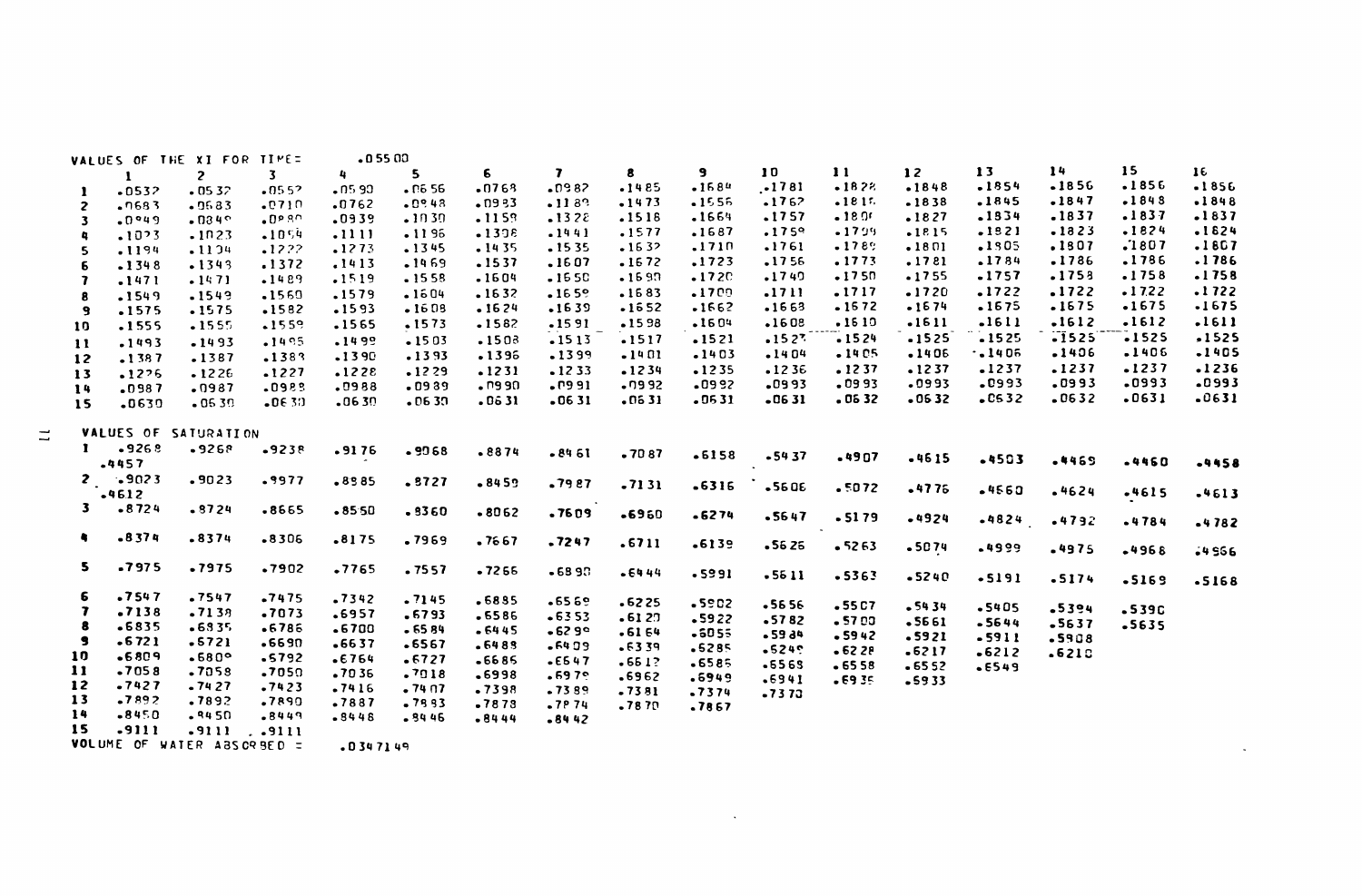|               |         | VALUES OF THE XI FOR TIME: |         | $-0.5500$ |          |         |         |         |         |         |           |         |         |                  |          |         |
|---------------|---------|----------------------------|---------|-----------|----------|---------|---------|---------|---------|---------|-----------|---------|---------|------------------|----------|---------|
|               | 1       | $\overline{z}$             | 3       | 4         | 5        | 6       | 7       | 8       | 9       | 10      | $\bf{11}$ | 12      | 13      | 14               | 15       | 16      |
| 1             | $-0532$ | $-0532$                    | $-0552$ | $-0590$   | .0656    | .0763   | $-0982$ | $-1485$ | $-1584$ | $-1781$ | $-182%$   | $-1848$ | $-1854$ | $-1856$          | $-1856$  | $-1856$ |
| 2             | $-1683$ | $-0683$                    | .0710   | .0762     | $-0.948$ | .0933   | .1133   | $-1473$ | $-1555$ | $-1762$ | $-1815$   | $-1838$ | .1845   | $-1847$          | $-1843$  | $-1848$ |
| з             | .0949   | $-034°$                    | .0989   | .0939     | $-1030$  | .1159   | .1328   | .1518   | .1664   | .1757   | $-18.05$  | .1827   | .1834   | $-1837$          | .1837    | .1837   |
|               | .1023   | .1023                      | $-1054$ | .1111     | .1196    | $-1398$ | $-1441$ | .1577   | .1687   | .1759   | $-1799$   | $-1815$ | .1821   | $-1323$          | .1824    | .1824   |
| 5             | .1194   | .1134                      | .1222   | .1273     | $-1345$  | $-1435$ | .1535   | $-1632$ | .1710   | .1761   | $-1789$   | .1801   | .1805   | .1807            | .1807    | .1807   |
| 6             | $-1348$ | $-1343$                    | .1372   | .1413     | $-1969$  | .1537   | .1607   | $-1672$ | .1723   | .1756   | .1773     | .1781   | .1784   | $-1786$          | .1786    | .1786   |
| 7             | .1471   | $-1471$                    | $-1489$ | .1519     | .1558    | .1604   | $-1550$ | $-1590$ | $-172C$ | $-1740$ | $-1750$   | $-1755$ | .1757   | .1758            | .1758    | .1758   |
| 8             | .1549   | $-1549$                    | $-1569$ | .1579     | .1604    | .1632   | $-1659$ | $-1683$ | .1700   | .1711   | .1717     | $-1720$ | .1722   | .1722            | $-17.22$ | .1722   |
| 9             | .1575   | $-1575$                    | $-1582$ | $-1593$   | $-1608$  | $-1624$ | $-1639$ | $-1652$ | $-1662$ | $-1663$ | $-1672$   | $-1674$ | .1675   | $-1675$          | $-1675$  | $-1675$ |
| 10            | .1555   | $-1555$                    | $-1559$ | .1565     | .1573    | $-1582$ | $-1591$ | $-1598$ | .1604   | .1608   | $-1510$   | .1611   | $-1611$ | $-1612$          | $-1612$  | .1611   |
| $\mathbf{11}$ | $-1493$ | $-1493$                    | $-1495$ | -1499     | $-1503$  | $-1503$ | $-1513$ | .1517   | $-1521$ | $-1527$ | $-1524$   | $-1525$ | $-1525$ | $-1525$          | $-1525$  | .1525   |
| 12            | $-1387$ | .1387                      | .1383   | -1390     | $-1393$  | .1396   | .1399   | $-1401$ | $-1403$ | $-1404$ | $-1405$   | $-1406$ | .1406   | .1406            | .1406    | $-1405$ |
| 13            | .1276   | $-1226$                    | .1227   | .1228     | .1229    | $-1231$ | $-1233$ | $-1234$ | $-1235$ | $-1236$ | .1237     | .1237   | .1237   | .1237            | $-1237$  | $-1236$ |
| 14            | $-0987$ | .0987                      | .0983   | .0988     | $-0939$  | .7990   | .0991   | .0992   | $-0992$ | .0993   | $-0993$   | -0993   | .0993   | .0993            | .0993    | -0993   |
| 15            | .0630   | $-0539$                    | $-0630$ | .0630     | $-0630$  | .0631   | $-0631$ | .0631   | $-0531$ | $-0631$ | .0632     | $-0532$ | $-0532$ | $-0632$          | .0631    | $-0631$ |
|               |         |                            |         |           |          |         |         |         |         |         |           |         |         |                  |          |         |
|               |         | VALUES OF SATURATION       |         |           |          |         |         |         |         |         |           |         |         |                  |          |         |
| 1             | $-9268$ | $-9268$                    | $-9238$ | $-9176$   | $-9068$  | $-8874$ | -8461   | .7087   | $-6158$ |         |           |         |         |                  |          |         |
|               | .4457   |                            |         |           |          |         |         |         |         | $-5437$ | $-4907$   | $-4615$ | $-4503$ | .4469            | $-4460$  | $-4458$ |
| $\mathbf{z}$  | $-9023$ | .9023                      | .9977   | $-8585$   | .8727    | $-8459$ | .7987   | -7131   |         |         |           |         |         |                  |          |         |
|               | $-4612$ |                            |         |           |          |         |         |         | .6316   | -5606   | .5072     | $-4775$ | .4560   | .4624            | $-4615$  | .4613   |
| 3.            | $-8724$ | $-8724$                    | .8665   | $-8550$   | .3360    | $-8062$ | .7609   | $-6960$ | $-6274$ | $-5647$ |           |         |         |                  |          |         |
|               |         |                            |         |           |          |         |         |         |         |         | $-5179$   | .4924   | $-4824$ | .4792            | $-4784$  | $-4782$ |
| ٠             | $-8374$ | .8374                      | $-8306$ | $-8175$   | .7969    | .7667   | .7247   | .6711   | .6139   | $-5626$ | $-5263$   | $-5074$ |         |                  |          |         |
|               |         |                            |         |           |          |         |         |         |         |         |           |         | -4999   | .4975            | -4968    | -4556   |
| 5.            | .7975   | .7975                      | .7902   | .7765     | .7557    | .7266   | $-6897$ | .6444   | .5991   | $-5511$ | $-5363$   | $-5240$ |         |                  |          |         |
|               |         |                            |         |           |          |         |         |         |         |         |           |         | $-5191$ | $-5174$          | $-5169$  | $-5168$ |
| 6             | .7547   | .7547                      | $-7475$ | .7342     | .7145    | .6835   | $-6569$ | $-6225$ | $-5902$ | $-5656$ | $-55C7$   | - 54 34 | $-5405$ |                  |          |         |
| 7             | .7138   | $-7138$                    | .7073   | .6957     | .6793    | .6586   | $-6353$ | $-6127$ | $-5922$ | $-5782$ | .5700     | -5661   | $-5644$ | .5394<br>$-5637$ | .5390    |         |
| 8             | $-6835$ | $-6335$                    | $-6786$ | .6700     | $-6584$  | $-6445$ | $-629°$ | $-6164$ | $-5055$ | -5934   | $-5942$   | .5921   | $-5911$ | $-5908$          | .5635    |         |
| з             | $-6721$ | $-5721$                    | $-6690$ | $-6637$   | .6567    | .6483   | $-6409$ | .6339   | $-5285$ | $-5249$ | $-622P$   | $-6217$ | $-6212$ | $-621C$          |          |         |
| 10            | $-6809$ | $-680°$                    | .5792   | $-6764$   | .6727    | -6685   | $-6547$ | $-651?$ | $-6585$ | $-6565$ | $-6558$   | $-6552$ | $-6549$ |                  |          |         |
| 11            | .7058   | .7058                      | .7050   | .7036     | .7018    | .6998   | $-6979$ | .6962   | .6949   | $-6941$ | $-6935$   | $-5933$ |         |                  |          |         |
| 12            | $-7427$ | $-7427$                    | $-7423$ | $-7416$   | .74 07   | $-7398$ | $-7389$ | $-7381$ | .7374   | -7373   |           |         |         |                  |          |         |
| 13            | $-7892$ | .7892                      | .7890   | .7887     | $-7993$  | $-7873$ | $-7974$ | $-7870$ | .7867   |         |           |         |         |                  |          |         |
| 14            | $-8450$ | $-9450$                    | $-8449$ | $-3448$   | -3446    | $-8444$ | $-8442$ |         |         |         |           |         |         |                  |          |         |
| 15            | $-9111$ | .9111                      | . .9111 |           |          |         |         |         |         |         |           |         |         |                  |          |         |

 $\mathcal{L}(\mathcal{L}(\mathcal{L}(\mathcal{L}(\mathcal{L}(\mathcal{L}(\mathcal{L}(\mathcal{L}(\mathcal{L}(\mathcal{L}(\mathcal{L}(\mathcal{L}(\mathcal{L}(\mathcal{L}(\mathcal{L}(\mathcal{L}(\mathcal{L}(\mathcal{L}(\mathcal{L}(\mathcal{L}(\mathcal{L}(\mathcal{L}(\mathcal{L}(\mathcal{L}(\mathcal{L}(\mathcal{L}(\mathcal{L}(\mathcal{L}(\mathcal{L}(\mathcal{L}(\mathcal{L}(\mathcal{L}(\mathcal{L}(\mathcal{L}(\mathcal{L}(\mathcal{L}(\mathcal{$ 

 $\sim$ 

VOLUME OF WATER ABSORBED = . 0347149

 $\Xi$